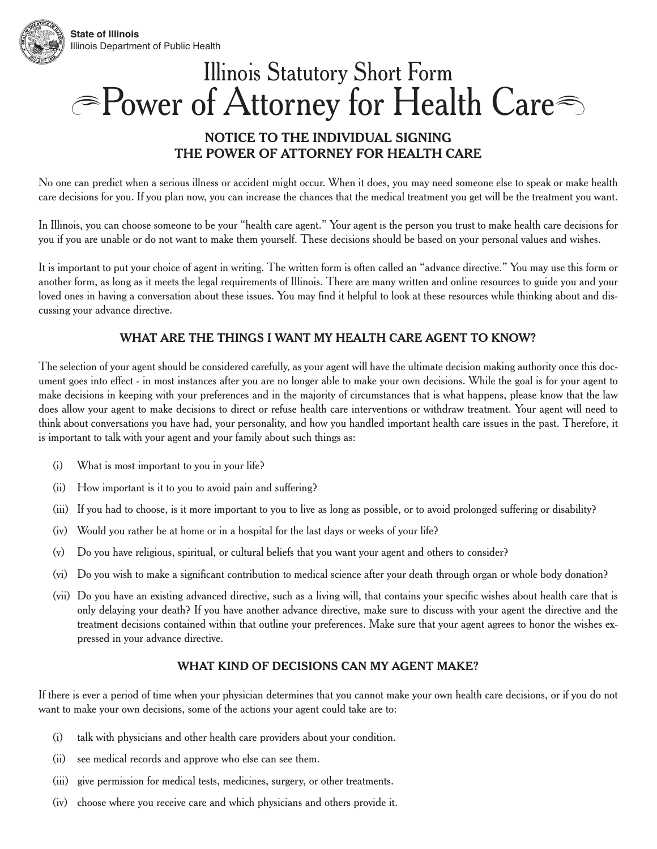# Illinois Statutory Short Form  $\epsilon$  Power of Attorney for Health Care $\epsilon$

# **NOTICE TO THE INDIVIDUAL SIGNING THE POWER OF ATTORNEY FOR HEALTH CARE**

No one can predict when a serious illness or accident might occur. When it does, you may need someone else to speak or make health care decisions for you. If you plan now, you can increase the chances that the medical treatment you get will be the treatment you want.

In Illinois, you can choose someone to be your "health care agent." Your agent is the person you trust to make health care decisions for you if you are unable or do not want to make them yourself. These decisions should be based on your personal values and wishes.

It is important to put your choice of agent in writing. The written form is often called an "advance directive." You may use this form or another form, as long as it meets the legal requirements of Illinois. There are many written and online resources to guide you and your loved ones in having a conversation about these issues. You may find it helpful to look at these resources while thinking about and discussing your advance directive.

# **WHAT ARE THE THINGS I WANT MY HEALTH CARE AGENT TO KNOW?**

The selection of your agent should be considered carefully, as your agent will have the ultimate decision making authority once this document goes into effect - in most instances after you are no longer able to make your own decisions. While the goal is for your agent to make decisions in keeping with your preferences and in the majority of circumstances that is what happens, please know that the law does allow your agent to make decisions to direct or refuse health care interventions or withdraw treatment. Your agent will need to think about conversations you have had, your personality, and how you handled important health care issues in the past. Therefore, it is important to talk with your agent and your family about such things as:

- (i) What is most important to you in your life?
- (ii) How important is it to you to avoid pain and suffering?
- (iii) If you had to choose, is it more important to you to live as long as possible, or to avoid prolonged suffering or disability?
- (iv) Would you rather be at home or in a hospital for the last days or weeks of your life?
- (v) Do you have religious, spiritual, or cultural beliefs that you want your agent and others to consider?
- (vi) Do you wish to make a significant contribution to medical science after your death through organ or whole body donation?
- (vii) Do you have an existing advanced directive, such as a living will, that contains your specific wishes about health care that is only delaying your death? If you have another advance directive, make sure to discuss with your agent the directive and the treatment decisions contained within that outline your preferences. Make sure that your agent agrees to honor the wishes expressed in your advance directive.

### **WHAT KIND OF DECISIONS CAN MY AGENT MAKE?**

If there is ever a period of time when your physician determines that you cannot make your own health care decisions, or if you do not want to make your own decisions, some of the actions your agent could take are to:

- (i) talk with physicians and other health care providers about your condition.
- (ii) see medical records and approve who else can see them.
- (iii) give permission for medical tests, medicines, surgery, or other treatments.
- (iv) choose where you receive care and which physicians and others provide it.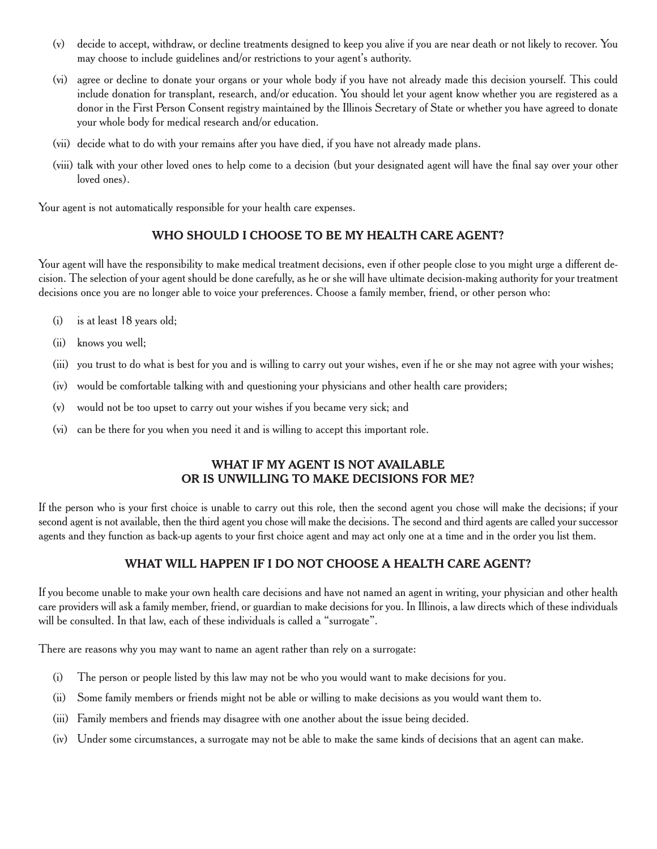- (v) decide to accept, withdraw, or decline treatments designed to keep you alive if you are near death or not likely to recover. You may choose to include guidelines and/or restrictions to your agent's authority.
- (vi) agree or decline to donate your organs or your whole body if you have not already made this decision yourself. This could include donation for transplant, research, and/or education. You should let your agent know whether you are registered as a donor in the First Person Consent registry maintained by the Illinois Secretary of State or whether you have agreed to donate your whole body for medical research and/or education.
- (vii) decide what to do with your remains after you have died, if you have not already made plans.
- (viii) talk with your other loved ones to help come to a decision (but your designated agent will have the final say over your other loved ones).

Your agent is not automatically responsible for your health care expenses.

### **WHO SHOULD I CHOOSE TO BE MY HEALTH CARE AGENT?**

Your agent will have the responsibility to make medical treatment decisions, even if other people close to you might urge a different decision. The selection of your agent should be done carefully, as he or she will have ultimate decision-making authority for your treatment decisions once you are no longer able to voice your preferences. Choose a family member, friend, or other person who:

- (i) is at least 18 years old;
- (ii) knows you well;
- (iii) you trust to do what is best for you and is willing to carry out your wishes, even if he or she may not agree with your wishes;
- (iv) would be comfortable talking with and questioning your physicians and other health care providers;
- (v) would not be too upset to carry out your wishes if you became very sick; and
- (vi) can be there for you when you need it and is willing to accept this important role.

### **WHAT IF MY AGENT IS NOT AVAILABLE OR IS UNWILLING TO MAKE DECISIONS FOR ME?**

If the person who is your first choice is unable to carry out this role, then the second agent you chose will make the decisions; if your second agent is not available, then the third agent you chose will make the decisions. The second and third agents are called your successor agents and they function as back-up agents to your first choice agent and may act only one at a time and in the order you list them.

### **WHAT WILL HAPPEN IF I DO NOT CHOOSE A HEALTH CARE AGENT?**

If you become unable to make your own health care decisions and have not named an agent in writing, your physician and other health care providers will ask a family member, friend, or guardian to make decisions for you. In Illinois, a law directs which of these individuals will be consulted. In that law, each of these individuals is called a "surrogate".

There are reasons why you may want to name an agent rather than rely on a surrogate:

- (i) The person or people listed by this law may not be who you would want to make decisions for you.
- (ii) Some family members or friends might not be able or willing to make decisions as you would want them to.
- (iii) Family members and friends may disagree with one another about the issue being decided.
- (iv) Under some circumstances, a surrogate may not be able to make the same kinds of decisions that an agent can make.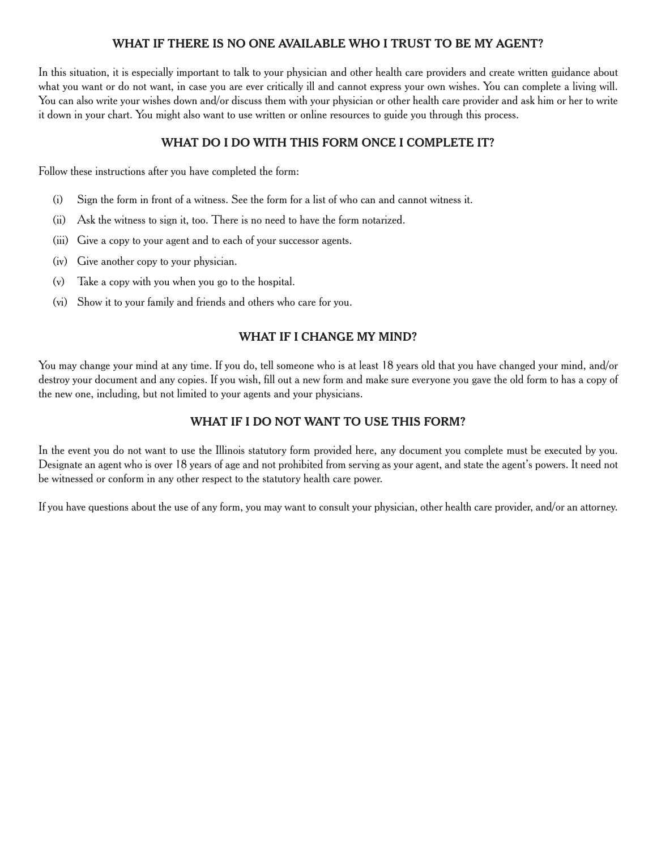### **WHAT IF THERE IS NO ONE AVAILABLE WHO I TRUST TO BE MY AGENT?**

In this situation, it is especially important to talk to your physician and other health care providers and create written guidance about what you want or do not want, in case you are ever critically ill and cannot express your own wishes. You can complete a living will. You can also write your wishes down and/or discuss them with your physician or other health care provider and ask him or her to write it down in your chart. You might also want to use written or online resources to guide you through this process.

### **WHAT DO I DO WITH THIS FORM ONCE I COMPLETE IT?**

Follow these instructions after you have completed the form:

- (i) Sign the form in front of a witness. See the form for a list of who can and cannot witness it.
- (ii) Ask the witness to sign it, too. There is no need to have the form notarized.
- (iii) Give a copy to your agent and to each of your successor agents.
- (iv) Give another copy to your physician.
- (v) Take a copy with you when you go to the hospital.
- (vi) Show it to your family and friends and others who care for you.

### **WHAT IF I CHANGE MY MIND?**

You may change your mind at any time. If you do, tell someone who is at least 18 years old that you have changed your mind, and/or destroy your document and any copies. If you wish, fill out a new form and make sure everyone you gave the old form to has a copy of the new one, including, but not limited to your agents and your physicians.

### **WHAT IF I DO NOT WANT TO USE THIS FORM?**

In the event you do not want to use the Illinois statutory form provided here, any document you complete must be executed by you. Designate an agent who is over 18 years of age and not prohibited from serving as your agent, and state the agent's powers. It need not be witnessed or conform in any other respect to the statutory health care power.

If you have questions about the use of any form, you may want to consult your physician, other health care provider, and/or an attorney.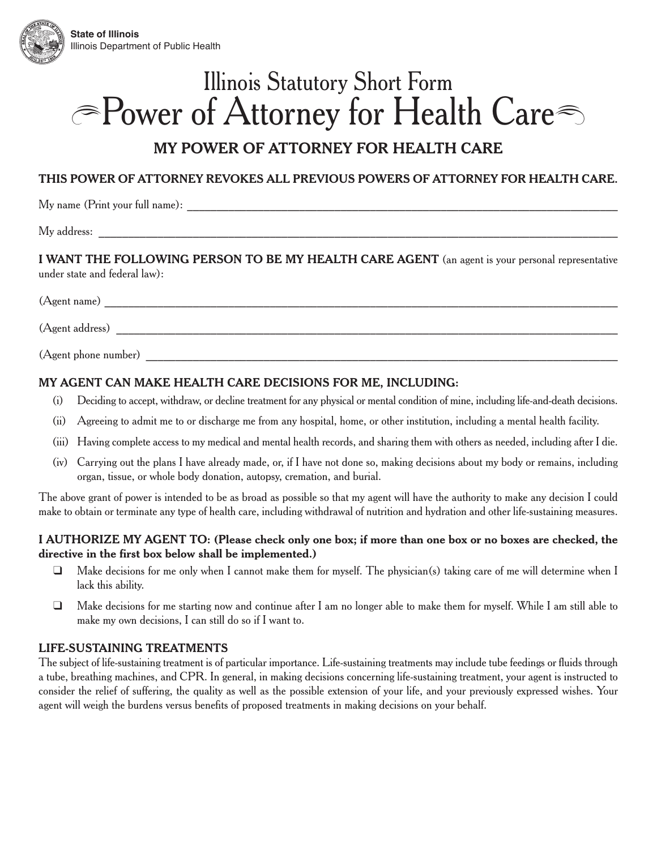

# Illinois Statutory Short Form Attorney for Health Care

# **MY POWER OF ATTORNEY FOR HEALTH CARE**

# **THIS POWER OF ATTORNEY REVOKES ALL PREVIOUS POWERS OF ATTORNEY FOR HEALTH CARE.**

My name (Print your full name): \_\_\_\_\_\_\_\_\_\_\_\_\_\_\_\_\_\_\_\_\_\_\_\_\_\_\_\_\_\_\_\_\_\_\_\_\_\_\_\_\_\_\_\_\_\_\_\_\_\_\_\_\_\_\_\_\_\_\_\_\_\_\_\_\_\_\_\_\_\_\_\_\_

 $M_{\rm V}$  address:

**I WANT THE FOLLOWING PERSON TO BE MY HEALTH CARE AGENT** (an agent is your personal representative under state and federal law):

 $(A<sub>gent</sub> name)$ 

(Agent address)

 $(A<sub>gent</sub> phone number)$ 

### **MY AGENT CAN MAKE HEALTH CARE DECISIONS FOR ME, INCLUDING:**

- (i) Deciding to accept, withdraw, or decline treatment for any physical or mental condition of mine, including life-and-death decisions.
- (ii) Agreeing to admit me to or discharge me from any hospital, home, or other institution, including a mental health facility.
- (iii) Having complete access to my medical and mental health records, and sharing them with others as needed, including after I die.
- (iv) Carrying out the plans I have already made, or, if I have not done so, making decisions about my body or remains, including organ, tissue, or whole body donation, autopsy, cremation, and burial.

The above grant of power is intended to be as broad as possible so that my agent will have the authority to make any decision I could make to obtain or terminate any type of health care, including withdrawal of nutrition and hydration and other life-sustaining measures.

### I AUTHORIZE MY AGENT TO: (Please check only one box; if more than one box or no boxes are checked, the **directive in the first box below shall be implemented.)**

- ❑ Make decisions for me only when I cannot make them for myself. The physician(s) taking care of me will determine when I lack this ability.
- ❑ Make decisions for me starting now and continue after I am no longer able to make them for myself. While I am still able to make my own decisions, I can still do so if I want to.

### **LIFE-SUSTAINING TREATMENTS**

The subject of life-sustaining treatment is of particular importance. Life-sustaining treatments may include tube feedings or fluids through a tube, breathing machines, and CPR. In general, in making decisions concerning life-sustaining treatment, your agent is instructed to consider the relief of suffering, the quality as well as the possible extension of your life, and your previously expressed wishes. Your agent will weigh the burdens versus benefits of proposed treatments in making decisions on your behalf.